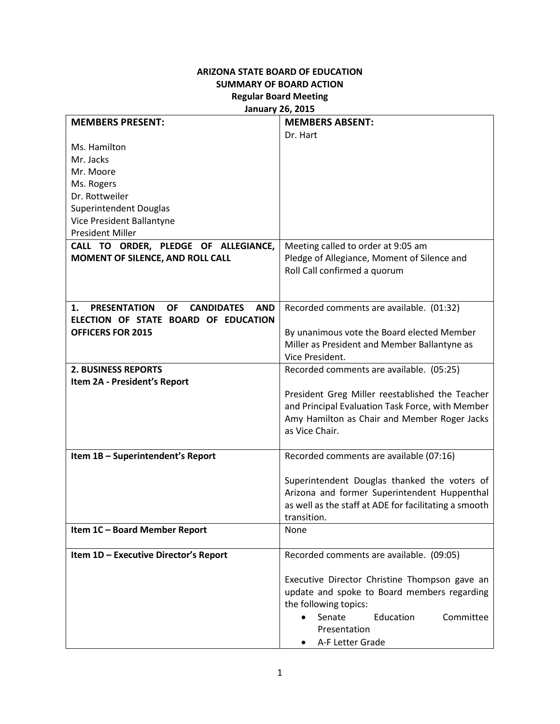## **ARIZONA STATE BOARD OF EDUCATION SUMMARY OF BOARD ACTION Regular Board Meeting January 26, 2015**

| <b>MEMBERS ABSENT:</b>                                                                       |
|----------------------------------------------------------------------------------------------|
| Dr. Hart                                                                                     |
|                                                                                              |
|                                                                                              |
|                                                                                              |
|                                                                                              |
|                                                                                              |
|                                                                                              |
|                                                                                              |
|                                                                                              |
| CALL TO ORDER, PLEDGE OF ALLEGIANCE,<br>Meeting called to order at 9:05 am                   |
| Pledge of Allegiance, Moment of Silence and                                                  |
| Roll Call confirmed a quorum                                                                 |
|                                                                                              |
|                                                                                              |
| Recorded comments are available. (01:32)<br><b>AND</b>                                       |
| ELECTION OF STATE BOARD OF EDUCATION                                                         |
| By unanimous vote the Board elected Member                                                   |
| Miller as President and Member Ballantyne as                                                 |
| Vice President.                                                                              |
| Recorded comments are available. (05:25)                                                     |
|                                                                                              |
| President Greg Miller reestablished the Teacher                                              |
| and Principal Evaluation Task Force, with Member                                             |
| Amy Hamilton as Chair and Member Roger Jacks                                                 |
| as Vice Chair.                                                                               |
|                                                                                              |
| Recorded comments are available (07:16)                                                      |
|                                                                                              |
| Superintendent Douglas thanked the voters of<br>Arizona and former Superintendent Huppenthal |
|                                                                                              |
| as well as the staff at ADE for facilitating a smooth<br>transition.                         |
| None                                                                                         |
|                                                                                              |
| Recorded comments are available. (09:05)                                                     |
|                                                                                              |
| Executive Director Christine Thompson gave an                                                |
| update and spoke to Board members regarding                                                  |
|                                                                                              |
|                                                                                              |
| the following topics:                                                                        |
| Senate<br>Education<br>Committee<br>Presentation                                             |
|                                                                                              |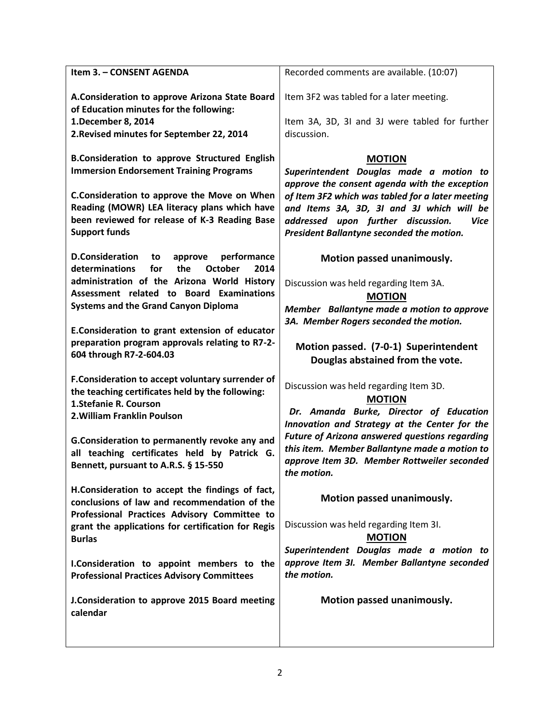| Item 3. - CONSENT AGENDA                                                                                                                                                                                                                                                                                                                                                                   | Recorded comments are available. (10:07)                                                                                                                                                                                                                                                                                    |
|--------------------------------------------------------------------------------------------------------------------------------------------------------------------------------------------------------------------------------------------------------------------------------------------------------------------------------------------------------------------------------------------|-----------------------------------------------------------------------------------------------------------------------------------------------------------------------------------------------------------------------------------------------------------------------------------------------------------------------------|
| A.Consideration to approve Arizona State Board<br>of Education minutes for the following:<br>1. December 8, 2014<br>2. Revised minutes for September 22, 2014                                                                                                                                                                                                                              | Item 3F2 was tabled for a later meeting.<br>Item 3A, 3D, 3I and 3J were tabled for further<br>discussion.                                                                                                                                                                                                                   |
| <b>B.Consideration to approve Structured English</b><br><b>Immersion Endorsement Training Programs</b><br>C.Consideration to approve the Move on When<br>Reading (MOWR) LEA literacy plans which have<br>been reviewed for release of K-3 Reading Base<br><b>Support funds</b>                                                                                                             | <b>MOTION</b><br>Superintendent Douglas made a motion to<br>approve the consent agenda with the exception<br>of Item 3F2 which was tabled for a later meeting<br>and Items 3A, 3D, 3I and 3J which will be<br>addressed upon further discussion.<br><b>Vice</b><br>President Ballantyne seconded the motion.                |
| <b>D.Consideration</b><br>performance<br>to<br>approve<br>determinations<br>for<br>the<br>2014<br><b>October</b><br>administration of the Arizona World History<br>Assessment related to Board Examinations<br><b>Systems and the Grand Canyon Diploma</b><br>E.Consideration to grant extension of educator<br>preparation program approvals relating to R7-2-<br>604 through R7-2-604.03 | Motion passed unanimously.<br>Discussion was held regarding Item 3A.<br><b>MOTION</b><br>Member Ballantyne made a motion to approve<br>3A. Member Rogers seconded the motion.<br>Motion passed. (7-0-1) Superintendent<br>Douglas abstained from the vote.                                                                  |
| F.Consideration to accept voluntary surrender of<br>the teaching certificates held by the following:<br>1. Stefanie R. Courson<br>2. William Franklin Poulson<br>G.Consideration to permanently revoke any and<br>all teaching certificates held by Patrick G.<br>Bennett, pursuant to A.R.S. § 15-550                                                                                     | Discussion was held regarding Item 3D.<br><b>MOTION</b><br>Dr. Amanda Burke, Director of Education<br>Innovation and Strategy at the Center for the<br><b>Future of Arizona answered questions regarding</b><br>this item. Member Ballantyne made a motion to<br>approve Item 3D. Member Rottweiler seconded<br>the motion. |
| H.Consideration to accept the findings of fact,<br>conclusions of law and recommendation of the<br>Professional Practices Advisory Committee to<br>grant the applications for certification for Regis<br><b>Burlas</b><br>I.Consideration to appoint members to the<br><b>Professional Practices Advisory Committees</b>                                                                   | Motion passed unanimously.<br>Discussion was held regarding Item 3I.<br><b>MOTION</b><br>Superintendent Douglas made a motion to<br>approve Item 3I. Member Ballantyne seconded<br>the motion.                                                                                                                              |
| J.Consideration to approve 2015 Board meeting<br>calendar                                                                                                                                                                                                                                                                                                                                  | Motion passed unanimously.                                                                                                                                                                                                                                                                                                  |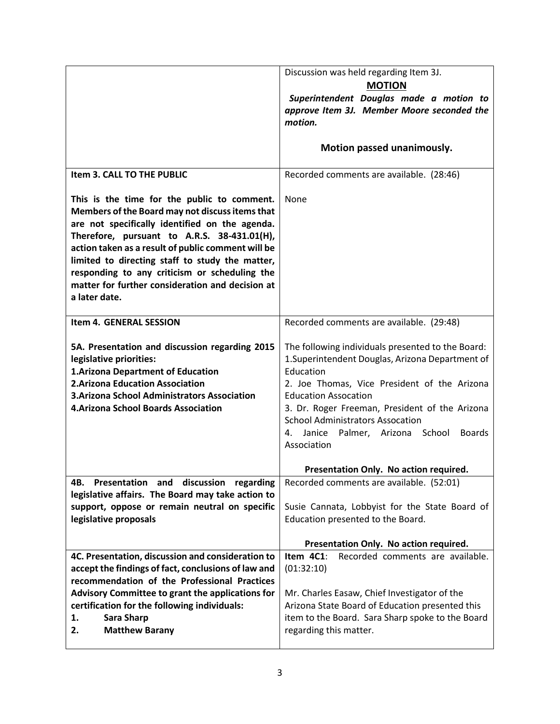|                                                                                                                                                                                                                                                                                                                                                                                                                                | Discussion was held regarding Item 3J.<br><b>MOTION</b>                                                                                                                                                                                                                                                                                                                  |
|--------------------------------------------------------------------------------------------------------------------------------------------------------------------------------------------------------------------------------------------------------------------------------------------------------------------------------------------------------------------------------------------------------------------------------|--------------------------------------------------------------------------------------------------------------------------------------------------------------------------------------------------------------------------------------------------------------------------------------------------------------------------------------------------------------------------|
|                                                                                                                                                                                                                                                                                                                                                                                                                                | Superintendent Douglas made a motion to<br>approve Item 3J. Member Moore seconded the<br>motion.                                                                                                                                                                                                                                                                         |
|                                                                                                                                                                                                                                                                                                                                                                                                                                | Motion passed unanimously.                                                                                                                                                                                                                                                                                                                                               |
| Item 3. CALL TO THE PUBLIC                                                                                                                                                                                                                                                                                                                                                                                                     | Recorded comments are available. (28:46)                                                                                                                                                                                                                                                                                                                                 |
| This is the time for the public to comment.<br>Members of the Board may not discuss items that<br>are not specifically identified on the agenda.<br>Therefore, pursuant to A.R.S. 38-431.01(H),<br>action taken as a result of public comment will be<br>limited to directing staff to study the matter,<br>responding to any criticism or scheduling the<br>matter for further consideration and decision at<br>a later date. | None                                                                                                                                                                                                                                                                                                                                                                     |
| <b>Item 4. GENERAL SESSION</b>                                                                                                                                                                                                                                                                                                                                                                                                 | Recorded comments are available. (29:48)                                                                                                                                                                                                                                                                                                                                 |
| 5A. Presentation and discussion regarding 2015<br>legislative priorities:<br>1. Arizona Department of Education<br><b>2.Arizona Education Association</b><br>3. Arizona School Administrators Association<br><b>4. Arizona School Boards Association</b>                                                                                                                                                                       | The following individuals presented to the Board:<br>1. Superintendent Douglas, Arizona Department of<br>Education<br>2. Joe Thomas, Vice President of the Arizona<br><b>Education Assocation</b><br>3. Dr. Roger Freeman, President of the Arizona<br><b>School Administrators Assocation</b><br>Palmer, Arizona School<br><b>Boards</b><br>Janice<br>4.<br>Association |
|                                                                                                                                                                                                                                                                                                                                                                                                                                | Presentation Only. No action required.                                                                                                                                                                                                                                                                                                                                   |
| Presentation and discussion regarding<br>4B.<br>legislative affairs. The Board may take action to<br>support, oppose or remain neutral on specific<br>legislative proposals                                                                                                                                                                                                                                                    | Recorded comments are available. (52:01)<br>Susie Cannata, Lobbyist for the State Board of<br>Education presented to the Board.                                                                                                                                                                                                                                          |
|                                                                                                                                                                                                                                                                                                                                                                                                                                | Presentation Only. No action required.                                                                                                                                                                                                                                                                                                                                   |
| 4C. Presentation, discussion and consideration to<br>accept the findings of fact, conclusions of law and<br>recommendation of the Professional Practices<br>Advisory Committee to grant the applications for<br>certification for the following individuals:<br>Sara Sharp<br>1.<br><b>Matthew Barany</b><br>2.                                                                                                                | Item $4C1$ :<br>Recorded comments are available.<br>(01:32:10)<br>Mr. Charles Easaw, Chief Investigator of the<br>Arizona State Board of Education presented this<br>item to the Board. Sara Sharp spoke to the Board<br>regarding this matter.                                                                                                                          |
|                                                                                                                                                                                                                                                                                                                                                                                                                                |                                                                                                                                                                                                                                                                                                                                                                          |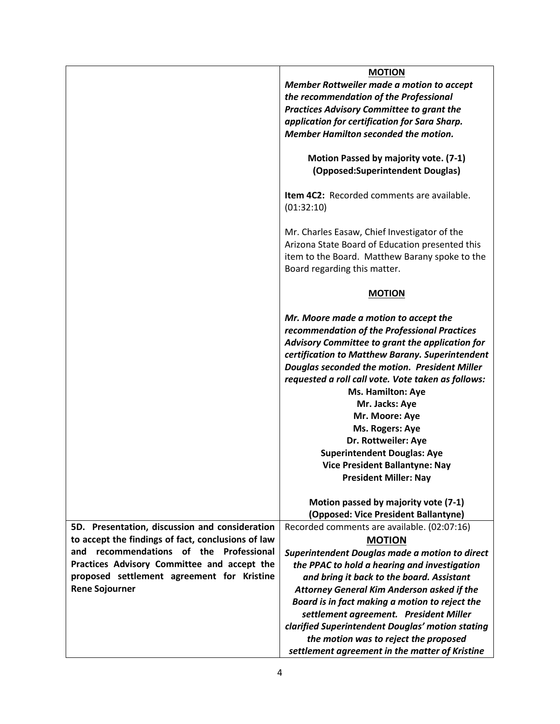|                                                    | <b>MOTION</b>                                                             |
|----------------------------------------------------|---------------------------------------------------------------------------|
|                                                    | Member Rottweiler made a motion to accept                                 |
|                                                    | the recommendation of the Professional                                    |
|                                                    | <b>Practices Advisory Committee to grant the</b>                          |
|                                                    | application for certification for Sara Sharp.                             |
|                                                    | Member Hamilton seconded the motion.                                      |
|                                                    | Motion Passed by majority vote. (7-1)<br>(Opposed:Superintendent Douglas) |
|                                                    | Item 4C2: Recorded comments are available.<br>(01:32:10)                  |
|                                                    | Mr. Charles Easaw, Chief Investigator of the                              |
|                                                    | Arizona State Board of Education presented this                           |
|                                                    | item to the Board. Matthew Barany spoke to the                            |
|                                                    | Board regarding this matter.                                              |
|                                                    | <b>MOTION</b>                                                             |
|                                                    | Mr. Moore made a motion to accept the                                     |
|                                                    | recommendation of the Professional Practices                              |
|                                                    | Advisory Committee to grant the application for                           |
|                                                    | certification to Matthew Barany. Superintendent                           |
|                                                    | Douglas seconded the motion. President Miller                             |
|                                                    | requested a roll call vote. Vote taken as follows:                        |
|                                                    | Ms. Hamilton: Aye                                                         |
|                                                    | Mr. Jacks: Aye                                                            |
|                                                    | Mr. Moore: Aye                                                            |
|                                                    | Ms. Rogers: Aye                                                           |
|                                                    | Dr. Rottweiler: Aye                                                       |
|                                                    | <b>Superintendent Douglas: Aye</b>                                        |
|                                                    | <b>Vice President Ballantyne: Nay</b>                                     |
|                                                    | <b>President Miller: Nay</b>                                              |
|                                                    | Motion passed by majority vote (7-1)                                      |
|                                                    | (Opposed: Vice President Ballantyne)                                      |
| 5D. Presentation, discussion and consideration     | Recorded comments are available. (02:07:16)                               |
| to accept the findings of fact, conclusions of law | <b>MOTION</b>                                                             |
| recommendations of the<br>Professional<br>and      | Superintendent Douglas made a motion to direct                            |
| Practices Advisory Committee and accept the        | the PPAC to hold a hearing and investigation                              |
| proposed settlement agreement for Kristine         | and bring it back to the board. Assistant                                 |
| <b>Rene Sojourner</b>                              | Attorney General Kim Anderson asked if the                                |
|                                                    | Board is in fact making a motion to reject the                            |
|                                                    | settlement agreement. President Miller                                    |
|                                                    | clarified Superintendent Douglas' motion stating                          |
|                                                    | the motion was to reject the proposed                                     |
|                                                    | settlement agreement in the matter of Kristine                            |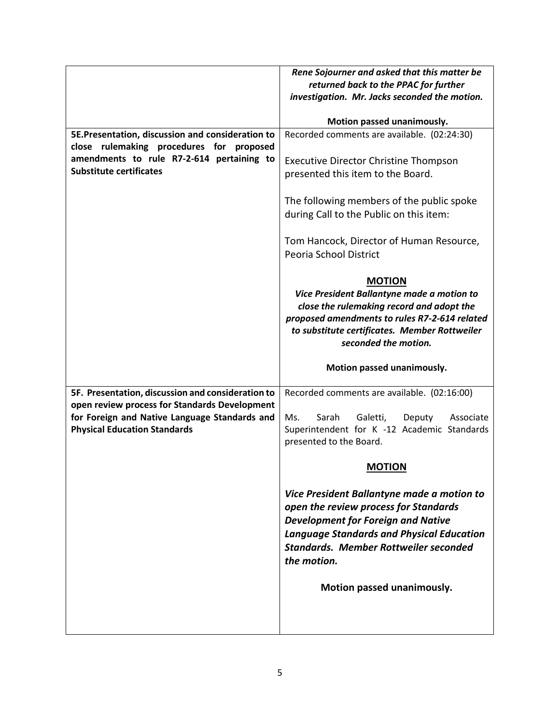|                                                   | Rene Sojourner and asked that this matter be                                               |
|---------------------------------------------------|--------------------------------------------------------------------------------------------|
|                                                   | returned back to the PPAC for further                                                      |
|                                                   | investigation. Mr. Jacks seconded the motion.                                              |
|                                                   | Motion passed unanimously.                                                                 |
| 5E.Presentation, discussion and consideration to  | Recorded comments are available. (02:24:30)                                                |
| close rulemaking procedures for proposed          |                                                                                            |
| amendments to rule R7-2-614 pertaining to         | <b>Executive Director Christine Thompson</b>                                               |
| <b>Substitute certificates</b>                    | presented this item to the Board.                                                          |
|                                                   |                                                                                            |
|                                                   | The following members of the public spoke                                                  |
|                                                   | during Call to the Public on this item:                                                    |
|                                                   |                                                                                            |
|                                                   | Tom Hancock, Director of Human Resource,                                                   |
|                                                   | Peoria School District                                                                     |
|                                                   |                                                                                            |
|                                                   | <b>MOTION</b>                                                                              |
|                                                   | Vice President Ballantyne made a motion to                                                 |
|                                                   | close the rulemaking record and adopt the<br>proposed amendments to rules R7-2-614 related |
|                                                   | to substitute certificates. Member Rottweiler                                              |
|                                                   | seconded the motion.                                                                       |
|                                                   |                                                                                            |
|                                                   |                                                                                            |
|                                                   | Motion passed unanimously.                                                                 |
| 5F. Presentation, discussion and consideration to | Recorded comments are available. (02:16:00)                                                |
| open review process for Standards Development     |                                                                                            |
| for Foreign and Native Language Standards and     | Ms.<br>Sarah<br>Galetti,<br>Deputy<br>Associate                                            |
| <b>Physical Education Standards</b>               | Superintendent for K -12 Academic Standards                                                |
|                                                   | presented to the Board.                                                                    |
|                                                   | <b>MOTION</b>                                                                              |
|                                                   |                                                                                            |
|                                                   | Vice President Ballantyne made a motion to                                                 |
|                                                   | open the review process for Standards                                                      |
|                                                   | <b>Development for Foreign and Native</b>                                                  |
|                                                   | <b>Language Standards and Physical Education</b>                                           |
|                                                   | <b>Standards. Member Rottweiler seconded</b>                                               |
|                                                   | the motion.                                                                                |
|                                                   | Motion passed unanimously.                                                                 |
|                                                   |                                                                                            |
|                                                   |                                                                                            |